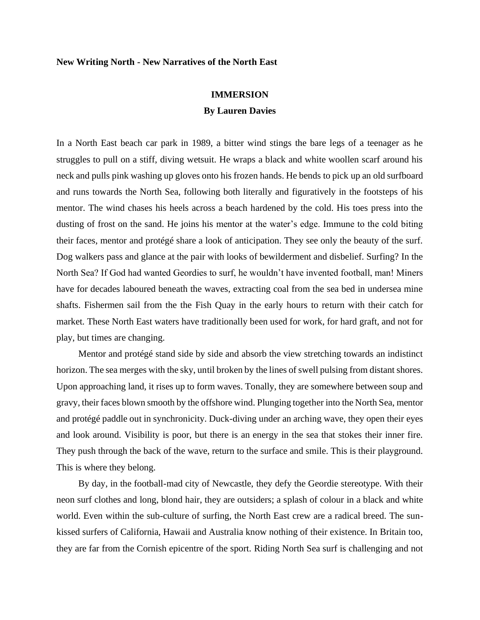## **New Writing North - New Narratives of the North East**

## **IMMERSION**

## **By Lauren Davies**

In a North East beach car park in 1989, a bitter wind stings the bare legs of a teenager as he struggles to pull on a stiff, diving wetsuit. He wraps a black and white woollen scarf around his neck and pulls pink washing up gloves onto his frozen hands. He bends to pick up an old surfboard and runs towards the North Sea, following both literally and figuratively in the footsteps of his mentor. The wind chases his heels across a beach hardened by the cold. His toes press into the dusting of frost on the sand. He joins his mentor at the water's edge. Immune to the cold biting their faces, mentor and protégé share a look of anticipation. They see only the beauty of the surf. Dog walkers pass and glance at the pair with looks of bewilderment and disbelief. Surfing? In the North Sea? If God had wanted Geordies to surf, he wouldn't have invented football, man! Miners have for decades laboured beneath the waves, extracting coal from the sea bed in undersea mine shafts. Fishermen sail from the the Fish Quay in the early hours to return with their catch for market. These North East waters have traditionally been used for work, for hard graft, and not for play, but times are changing.

Mentor and protégé stand side by side and absorb the view stretching towards an indistinct horizon. The sea merges with the sky, until broken by the lines of swell pulsing from distant shores. Upon approaching land, it rises up to form waves. Tonally, they are somewhere between soup and gravy, their faces blown smooth by the offshore wind. Plunging together into the North Sea, mentor and protégé paddle out in synchronicity. Duck-diving under an arching wave, they open their eyes and look around. Visibility is poor, but there is an energy in the sea that stokes their inner fire. They push through the back of the wave, return to the surface and smile. This is their playground. This is where they belong.

By day, in the football-mad city of Newcastle, they defy the Geordie stereotype. With their neon surf clothes and long, blond hair, they are outsiders; a splash of colour in a black and white world. Even within the sub-culture of surfing, the North East crew are a radical breed. The sunkissed surfers of California, Hawaii and Australia know nothing of their existence. In Britain too, they are far from the Cornish epicentre of the sport. Riding North Sea surf is challenging and not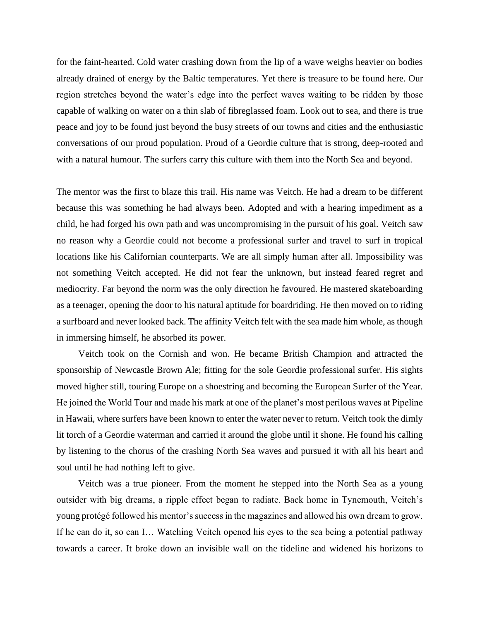for the faint-hearted. Cold water crashing down from the lip of a wave weighs heavier on bodies already drained of energy by the Baltic temperatures. Yet there is treasure to be found here. Our region stretches beyond the water's edge into the perfect waves waiting to be ridden by those capable of walking on water on a thin slab of fibreglassed foam. Look out to sea, and there is true peace and joy to be found just beyond the busy streets of our towns and cities and the enthusiastic conversations of our proud population. Proud of a Geordie culture that is strong, deep-rooted and with a natural humour. The surfers carry this culture with them into the North Sea and beyond.

The mentor was the first to blaze this trail. His name was Veitch. He had a dream to be different because this was something he had always been. Adopted and with a hearing impediment as a child, he had forged his own path and was uncompromising in the pursuit of his goal. Veitch saw no reason why a Geordie could not become a professional surfer and travel to surf in tropical locations like his Californian counterparts. We are all simply human after all. Impossibility was not something Veitch accepted. He did not fear the unknown, but instead feared regret and mediocrity. Far beyond the norm was the only direction he favoured. He mastered skateboarding as a teenager, opening the door to his natural aptitude for boardriding. He then moved on to riding a surfboard and never looked back. The affinity Veitch felt with the sea made him whole, as though in immersing himself, he absorbed its power.

Veitch took on the Cornish and won. He became British Champion and attracted the sponsorship of Newcastle Brown Ale; fitting for the sole Geordie professional surfer. His sights moved higher still, touring Europe on a shoestring and becoming the European Surfer of the Year. He joined the World Tour and made his mark at one of the planet's most perilous waves at Pipeline in Hawaii, where surfers have been known to enter the water never to return. Veitch took the dimly lit torch of a Geordie waterman and carried it around the globe until it shone. He found his calling by listening to the chorus of the crashing North Sea waves and pursued it with all his heart and soul until he had nothing left to give.

Veitch was a true pioneer. From the moment he stepped into the North Sea as a young outsider with big dreams, a ripple effect began to radiate. Back home in Tynemouth, Veitch's young protégé followed his mentor's success in the magazines and allowed his own dream to grow. If he can do it, so can I… Watching Veitch opened his eyes to the sea being a potential pathway towards a career. It broke down an invisible wall on the tideline and widened his horizons to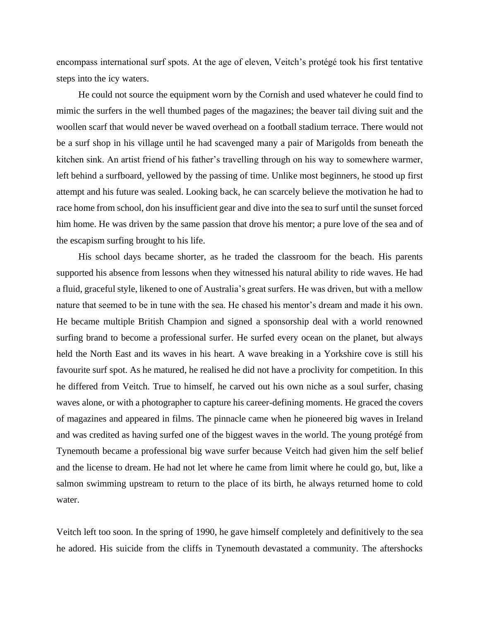encompass international surf spots. At the age of eleven, Veitch's protégé took his first tentative steps into the icy waters.

He could not source the equipment worn by the Cornish and used whatever he could find to mimic the surfers in the well thumbed pages of the magazines; the beaver tail diving suit and the woollen scarf that would never be waved overhead on a football stadium terrace. There would not be a surf shop in his village until he had scavenged many a pair of Marigolds from beneath the kitchen sink. An artist friend of his father's travelling through on his way to somewhere warmer, left behind a surfboard, yellowed by the passing of time. Unlike most beginners, he stood up first attempt and his future was sealed. Looking back, he can scarcely believe the motivation he had to race home from school, don his insufficient gear and dive into the sea to surf until the sunset forced him home. He was driven by the same passion that drove his mentor; a pure love of the sea and of the escapism surfing brought to his life.

His school days became shorter, as he traded the classroom for the beach. His parents supported his absence from lessons when they witnessed his natural ability to ride waves. He had a fluid, graceful style, likened to one of Australia's great surfers. He was driven, but with a mellow nature that seemed to be in tune with the sea. He chased his mentor's dream and made it his own. He became multiple British Champion and signed a sponsorship deal with a world renowned surfing brand to become a professional surfer. He surfed every ocean on the planet, but always held the North East and its waves in his heart. A wave breaking in a Yorkshire cove is still his favourite surf spot. As he matured, he realised he did not have a proclivity for competition. In this he differed from Veitch. True to himself, he carved out his own niche as a soul surfer, chasing waves alone, or with a photographer to capture his career-defining moments. He graced the covers of magazines and appeared in films. The pinnacle came when he pioneered big waves in Ireland and was credited as having surfed one of the biggest waves in the world. The young protégé from Tynemouth became a professional big wave surfer because Veitch had given him the self belief and the license to dream. He had not let where he came from limit where he could go, but, like a salmon swimming upstream to return to the place of its birth, he always returned home to cold water.

Veitch left too soon. In the spring of 1990, he gave himself completely and definitively to the sea he adored. His suicide from the cliffs in Tynemouth devastated a community. The aftershocks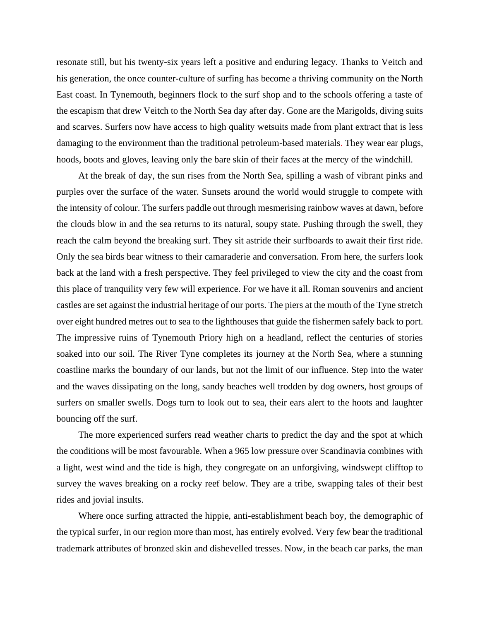resonate still, but his twenty-six years left a positive and enduring legacy. Thanks to Veitch and his generation, the once counter-culture of surfing has become a thriving community on the North East coast. In Tynemouth, beginners flock to the surf shop and to the schools offering a taste of the escapism that drew Veitch to the North Sea day after day. Gone are the Marigolds, diving suits and scarves. Surfers now have access to high quality wetsuits made from plant extract that is less damaging to the environment than the traditional petroleum-based materials. They wear ear plugs, hoods, boots and gloves, leaving only the bare skin of their faces at the mercy of the windchill.

At the break of day, the sun rises from the North Sea, spilling a wash of vibrant pinks and purples over the surface of the water. Sunsets around the world would struggle to compete with the intensity of colour. The surfers paddle out through mesmerising rainbow waves at dawn, before the clouds blow in and the sea returns to its natural, soupy state. Pushing through the swell, they reach the calm beyond the breaking surf. They sit astride their surfboards to await their first ride. Only the sea birds bear witness to their camaraderie and conversation. From here, the surfers look back at the land with a fresh perspective. They feel privileged to view the city and the coast from this place of tranquility very few will experience. For we have it all. Roman souvenirs and ancient castles are set against the industrial heritage of our ports. The piers at the mouth of the Tyne stretch over eight hundred metres out to sea to the lighthouses that guide the fishermen safely back to port. The impressive ruins of Tynemouth Priory high on a headland, reflect the centuries of stories soaked into our soil. The River Tyne completes its journey at the North Sea, where a stunning coastline marks the boundary of our lands, but not the limit of our influence. Step into the water and the waves dissipating on the long, sandy beaches well trodden by dog owners, host groups of surfers on smaller swells. Dogs turn to look out to sea, their ears alert to the hoots and laughter bouncing off the surf.

The more experienced surfers read weather charts to predict the day and the spot at which the conditions will be most favourable. When a 965 low pressure over Scandinavia combines with a light, west wind and the tide is high, they congregate on an unforgiving, windswept clifftop to survey the waves breaking on a rocky reef below. They are a tribe, swapping tales of their best rides and jovial insults.

Where once surfing attracted the hippie, anti-establishment beach boy, the demographic of the typical surfer, in our region more than most, has entirely evolved. Very few bear the traditional trademark attributes of bronzed skin and dishevelled tresses. Now, in the beach car parks, the man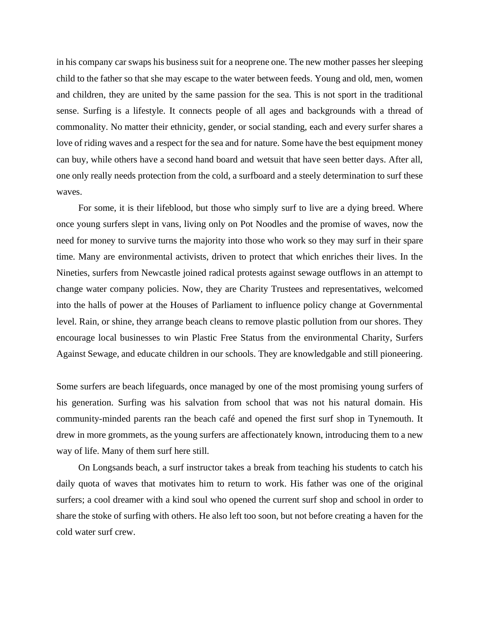in his company car swaps his business suit for a neoprene one. The new mother passes her sleeping child to the father so that she may escape to the water between feeds. Young and old, men, women and children, they are united by the same passion for the sea. This is not sport in the traditional sense. Surfing is a lifestyle. It connects people of all ages and backgrounds with a thread of commonality. No matter their ethnicity, gender, or social standing, each and every surfer shares a love of riding waves and a respect for the sea and for nature. Some have the best equipment money can buy, while others have a second hand board and wetsuit that have seen better days. After all, one only really needs protection from the cold, a surfboard and a steely determination to surf these waves.

For some, it is their lifeblood, but those who simply surf to live are a dying breed. Where once young surfers slept in vans, living only on Pot Noodles and the promise of waves, now the need for money to survive turns the majority into those who work so they may surf in their spare time. Many are environmental activists, driven to protect that which enriches their lives. In the Nineties, surfers from Newcastle joined radical protests against sewage outflows in an attempt to change water company policies. Now, they are Charity Trustees and representatives, welcomed into the halls of power at the Houses of Parliament to influence policy change at Governmental level. Rain, or shine, they arrange beach cleans to remove plastic pollution from our shores. They encourage local businesses to win Plastic Free Status from the environmental Charity, Surfers Against Sewage, and educate children in our schools. They are knowledgable and still pioneering.

Some surfers are beach lifeguards, once managed by one of the most promising young surfers of his generation. Surfing was his salvation from school that was not his natural domain. His community-minded parents ran the beach café and opened the first surf shop in Tynemouth. It drew in more grommets, as the young surfers are affectionately known, introducing them to a new way of life. Many of them surf here still.

On Longsands beach, a surf instructor takes a break from teaching his students to catch his daily quota of waves that motivates him to return to work. His father was one of the original surfers; a cool dreamer with a kind soul who opened the current surf shop and school in order to share the stoke of surfing with others. He also left too soon, but not before creating a haven for the cold water surf crew.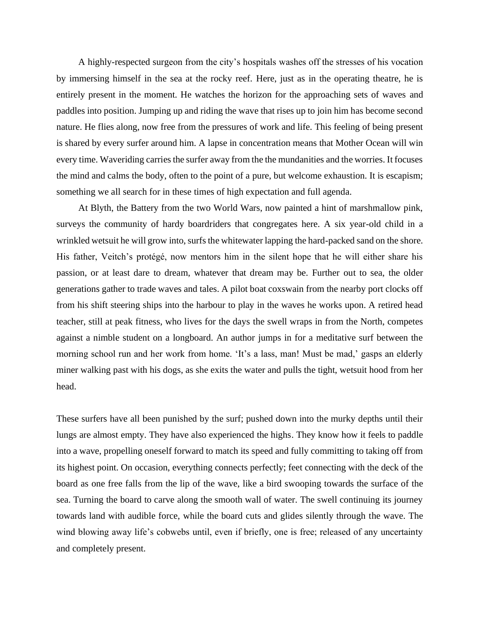A highly-respected surgeon from the city's hospitals washes off the stresses of his vocation by immersing himself in the sea at the rocky reef. Here, just as in the operating theatre, he is entirely present in the moment. He watches the horizon for the approaching sets of waves and paddles into position. Jumping up and riding the wave that rises up to join him has become second nature. He flies along, now free from the pressures of work and life. This feeling of being present is shared by every surfer around him. A lapse in concentration means that Mother Ocean will win every time. Waveriding carries the surfer away from the the mundanities and the worries. It focuses the mind and calms the body, often to the point of a pure, but welcome exhaustion. It is escapism; something we all search for in these times of high expectation and full agenda.

At Blyth, the Battery from the two World Wars, now painted a hint of marshmallow pink, surveys the community of hardy boardriders that congregates here. A six year-old child in a wrinkled wetsuit he will grow into, surfs the whitewater lapping the hard-packed sand on the shore. His father, Veitch's protégé, now mentors him in the silent hope that he will either share his passion, or at least dare to dream, whatever that dream may be. Further out to sea, the older generations gather to trade waves and tales. A pilot boat coxswain from the nearby port clocks off from his shift steering ships into the harbour to play in the waves he works upon. A retired head teacher, still at peak fitness, who lives for the days the swell wraps in from the North, competes against a nimble student on a longboard. An author jumps in for a meditative surf between the morning school run and her work from home. 'It's a lass, man! Must be mad,' gasps an elderly miner walking past with his dogs, as she exits the water and pulls the tight, wetsuit hood from her head.

These surfers have all been punished by the surf; pushed down into the murky depths until their lungs are almost empty. They have also experienced the highs. They know how it feels to paddle into a wave, propelling oneself forward to match its speed and fully committing to taking off from its highest point. On occasion, everything connects perfectly; feet connecting with the deck of the board as one free falls from the lip of the wave, like a bird swooping towards the surface of the sea. Turning the board to carve along the smooth wall of water. The swell continuing its journey towards land with audible force, while the board cuts and glides silently through the wave. The wind blowing away life's cobwebs until, even if briefly, one is free; released of any uncertainty and completely present.